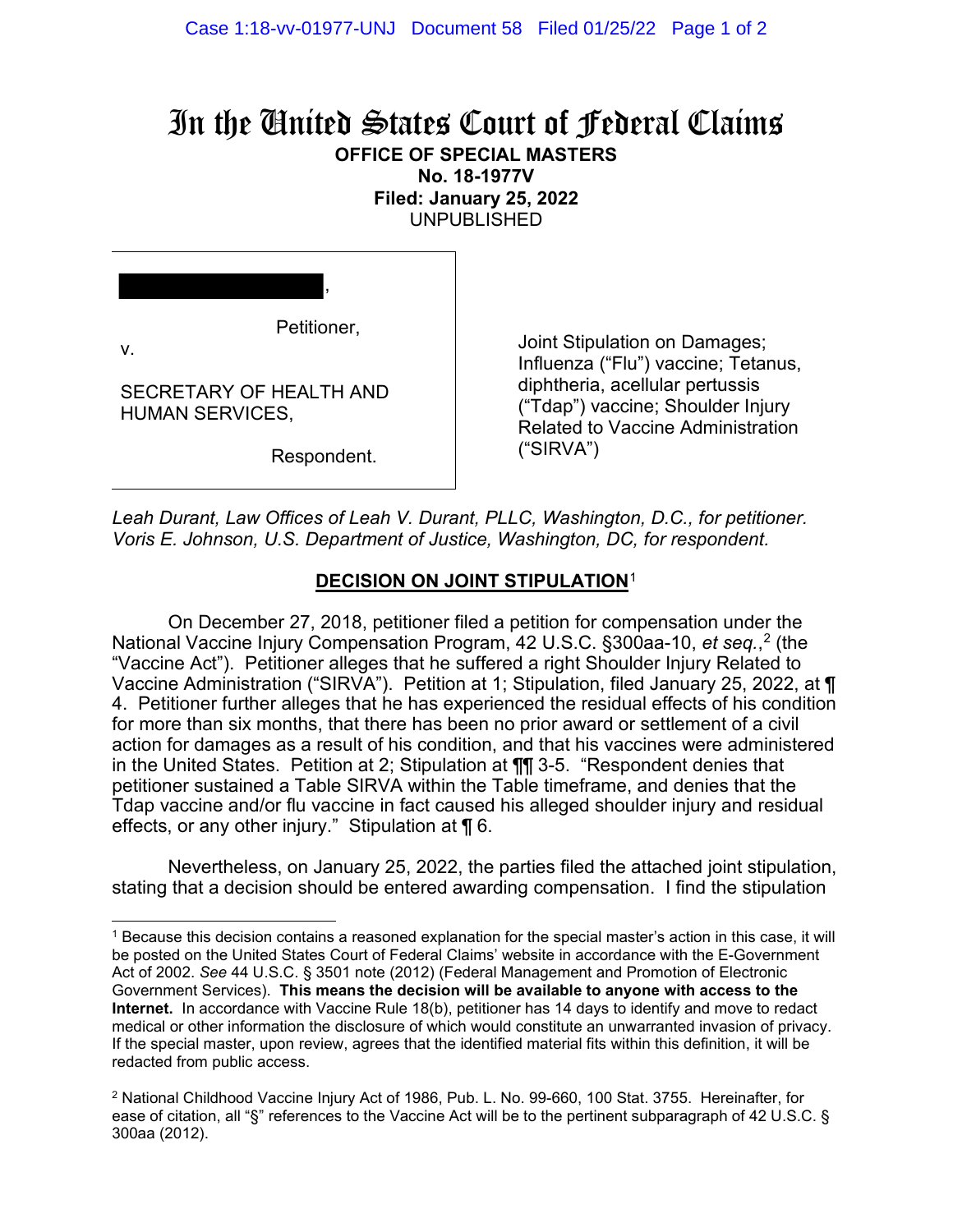## In the United States Court of Federal Claims **OFFICE OF SPECIAL MASTERS**

**No. 18-1977V Filed: January 25, 2022**

UNPUBLISHED

Petitioner,

,

v.

SECRETARY OF HEALTH AND HUMAN SERVICES,

Respondent.

Joint Stipulation on Damages; Influenza ("Flu") vaccine; Tetanus, diphtheria, acellular pertussis ("Tdap") vaccine; Shoulder Injury Related to Vaccine Administration ("SIRVA")

*Leah Durant, Law Offices of Leah V. Durant, PLLC, Washington, D.C., for petitioner. Voris E. Johnson, U.S. Department of Justice, Washington, DC, for respondent.*

## **DECISION ON JOINT STIPULATION**[1](#page-0-0)

On December 27, 2018, petitioner filed a petition for compensation under the National Vaccine Injury Compensation Program, 42 U.S.C. §300aa-10, *et seq.*, [2](#page-0-1) (the "Vaccine Act"). Petitioner alleges that he suffered a right Shoulder Injury Related to Vaccine Administration ("SIRVA"). Petition at 1; Stipulation, filed January 25, 2022, at ¶ 4. Petitioner further alleges that he has experienced the residual effects of his condition for more than six months, that there has been no prior award or settlement of a civil action for damages as a result of his condition, and that his vaccines were administered in the United States. Petition at 2; Stipulation at ¶¶ 3-5. "Respondent denies that petitioner sustained a Table SIRVA within the Table timeframe, and denies that the Tdap vaccine and/or flu vaccine in fact caused his alleged shoulder injury and residual effects, or any other injury." Stipulation at ¶ 6.

Nevertheless, on January 25, 2022, the parties filed the attached joint stipulation, stating that a decision should be entered awarding compensation. I find the stipulation

<span id="page-0-0"></span><sup>1</sup> Because this decision contains a reasoned explanation for the special master's action in this case, it will be posted on the United States Court of Federal Claims' website in accordance with the E-Government Act of 2002. *See* 44 U.S.C. § 3501 note (2012) (Federal Management and Promotion of Electronic Government Services). **This means the decision will be available to anyone with access to the Internet.** In accordance with Vaccine Rule 18(b), petitioner has 14 days to identify and move to redact medical or other information the disclosure of which would constitute an unwarranted invasion of privacy. If the special master, upon review, agrees that the identified material fits within this definition, it will be redacted from public access.

<span id="page-0-1"></span><sup>2</sup> National Childhood Vaccine Injury Act of 1986, Pub. L. No. 99-660, 100 Stat. 3755. Hereinafter, for ease of citation, all "§" references to the Vaccine Act will be to the pertinent subparagraph of 42 U.S.C. § 300aa (2012).